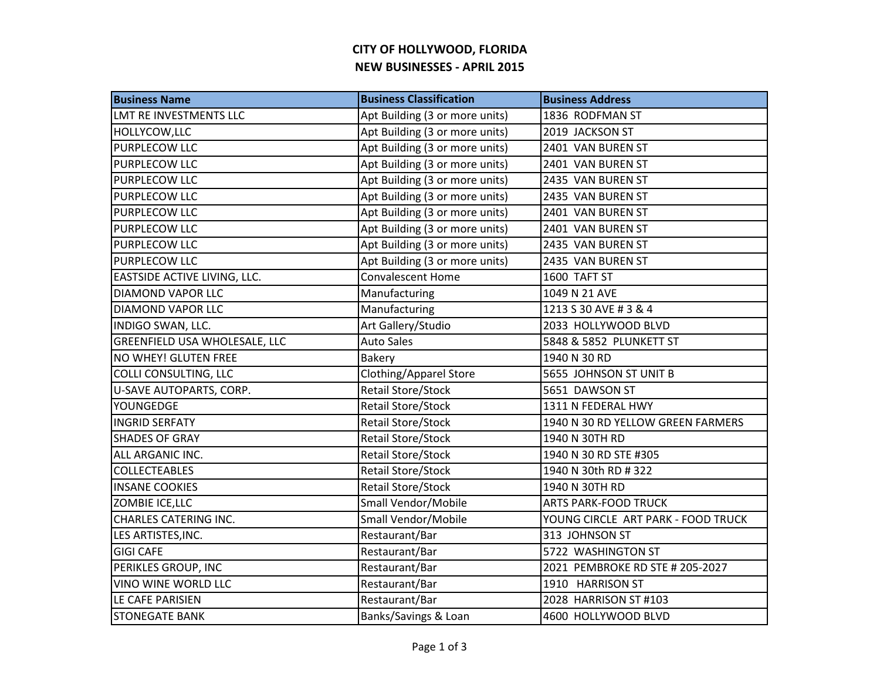## **CITY OF HOLLYWOOD, FLORIDA NEW BUSINESSES - APRIL 2015**

| <b>Business Name</b>                 | <b>Business Classification</b> | <b>Business Address</b>            |
|--------------------------------------|--------------------------------|------------------------------------|
| LMT RE INVESTMENTS LLC               | Apt Building (3 or more units) | 1836 RODFMAN ST                    |
| HOLLYCOW, LLC                        | Apt Building (3 or more units) | 2019 JACKSON ST                    |
| <b>PURPLECOW LLC</b>                 | Apt Building (3 or more units) | 2401 VAN BUREN ST                  |
| <b>PURPLECOW LLC</b>                 | Apt Building (3 or more units) | 2401 VAN BUREN ST                  |
| <b>PURPLECOW LLC</b>                 | Apt Building (3 or more units) | 2435 VAN BUREN ST                  |
| <b>PURPLECOW LLC</b>                 | Apt Building (3 or more units) | 2435 VAN BUREN ST                  |
| <b>PURPLECOW LLC</b>                 | Apt Building (3 or more units) | 2401 VAN BUREN ST                  |
| <b>PURPLECOW LLC</b>                 | Apt Building (3 or more units) | 2401 VAN BUREN ST                  |
| <b>PURPLECOW LLC</b>                 | Apt Building (3 or more units) | 2435 VAN BUREN ST                  |
| <b>PURPLECOW LLC</b>                 | Apt Building (3 or more units) | 2435 VAN BUREN ST                  |
| EASTSIDE ACTIVE LIVING, LLC.         | <b>Convalescent Home</b>       | 1600 TAFT ST                       |
| <b>DIAMOND VAPOR LLC</b>             | Manufacturing                  | 1049 N 21 AVE                      |
| <b>DIAMOND VAPOR LLC</b>             | Manufacturing                  | 1213 S 30 AVE # 3 & 4              |
| INDIGO SWAN, LLC.                    | Art Gallery/Studio             | 2033 HOLLYWOOD BLVD                |
| <b>GREENFIELD USA WHOLESALE, LLC</b> | <b>Auto Sales</b>              | 5848 & 5852 PLUNKETT ST            |
| NO WHEY! GLUTEN FREE                 | Bakery                         | 1940 N 30 RD                       |
| COLLI CONSULTING, LLC                | <b>Clothing/Apparel Store</b>  | 5655 JOHNSON ST UNIT B             |
| U-SAVE AUTOPARTS, CORP.              | Retail Store/Stock             | 5651 DAWSON ST                     |
| YOUNGEDGE                            | <b>Retail Store/Stock</b>      | 1311 N FEDERAL HWY                 |
| <b>INGRID SERFATY</b>                | <b>Retail Store/Stock</b>      | 1940 N 30 RD YELLOW GREEN FARMERS  |
| <b>SHADES OF GRAY</b>                | <b>Retail Store/Stock</b>      | 1940 N 30TH RD                     |
| ALL ARGANIC INC.                     | Retail Store/Stock             | 1940 N 30 RD STE #305              |
| <b>COLLECTEABLES</b>                 | Retail Store/Stock             | 1940 N 30th RD # 322               |
| <b>INSANE COOKIES</b>                | <b>Retail Store/Stock</b>      | 1940 N 30TH RD                     |
| ZOMBIE ICE, LLC                      | Small Vendor/Mobile            | <b>ARTS PARK-FOOD TRUCK</b>        |
| <b>CHARLES CATERING INC.</b>         | Small Vendor/Mobile            | YOUNG CIRCLE ART PARK - FOOD TRUCK |
| LES ARTISTES, INC.                   | Restaurant/Bar                 | 313 JOHNSON ST                     |
| <b>GIGI CAFE</b>                     | Restaurant/Bar                 | 5722 WASHINGTON ST                 |
| PERIKLES GROUP, INC                  | Restaurant/Bar                 | 2021 PEMBROKE RD STE # 205-2027    |
| <b>VINO WINE WORLD LLC</b>           | Restaurant/Bar                 | 1910 HARRISON ST                   |
| LE CAFE PARISIEN                     | Restaurant/Bar                 | 2028 HARRISON ST #103              |
| <b>STONEGATE BANK</b>                | Banks/Savings & Loan           | 4600 HOLLYWOOD BLVD                |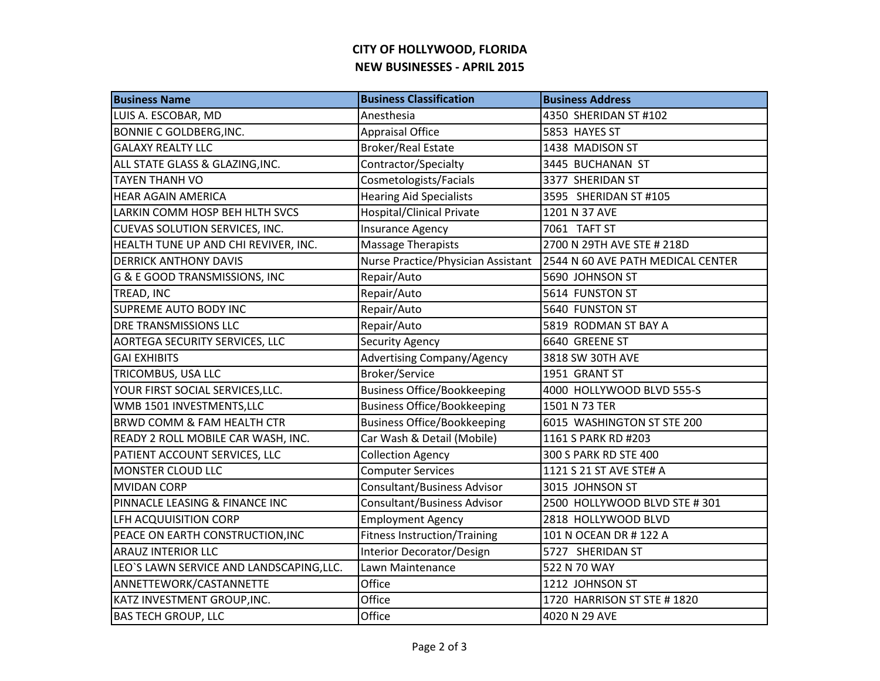## **CITY OF HOLLYWOOD, FLORIDA NEW BUSINESSES - APRIL 2015**

| <b>Business Name</b>                     | <b>Business Classification</b>     | <b>Business Address</b>           |
|------------------------------------------|------------------------------------|-----------------------------------|
| LUIS A. ESCOBAR, MD                      | Anesthesia                         | 4350 SHERIDAN ST #102             |
| <b>BONNIE C GOLDBERG, INC.</b>           | <b>Appraisal Office</b>            | 5853 HAYES ST                     |
| <b>GALAXY REALTY LLC</b>                 | <b>Broker/Real Estate</b>          | 1438 MADISON ST                   |
| ALL STATE GLASS & GLAZING, INC.          | Contractor/Specialty               | 3445 BUCHANAN ST                  |
| <b>TAYEN THANH VO</b>                    | Cosmetologists/Facials             | 3377 SHERIDAN ST                  |
| <b>HEAR AGAIN AMERICA</b>                | <b>Hearing Aid Specialists</b>     | 3595 SHERIDAN ST #105             |
| LARKIN COMM HOSP BEH HLTH SVCS           | <b>Hospital/Clinical Private</b>   | 1201 N 37 AVE                     |
| <b>CUEVAS SOLUTION SERVICES, INC.</b>    | <b>Insurance Agency</b>            | 7061 TAFT ST                      |
| HEALTH TUNE UP AND CHI REVIVER, INC.     | Massage Therapists                 | 2700 N 29TH AVE STE # 218D        |
| <b>DERRICK ANTHONY DAVIS</b>             | Nurse Practice/Physician Assistant | 2544 N 60 AVE PATH MEDICAL CENTER |
| G & E GOOD TRANSMISSIONS, INC            | Repair/Auto                        | 5690 JOHNSON ST                   |
| TREAD, INC                               | Repair/Auto                        | 5614 FUNSTON ST                   |
| SUPREME AUTO BODY INC                    | Repair/Auto                        | 5640 FUNSTON ST                   |
| <b>DRE TRANSMISSIONS LLC</b>             | Repair/Auto                        | 5819 RODMAN ST BAY A              |
| <b>AORTEGA SECURITY SERVICES, LLC</b>    | <b>Security Agency</b>             | 6640 GREENE ST                    |
| <b>GAI EXHIBITS</b>                      | <b>Advertising Company/Agency</b>  | 3818 SW 30TH AVE                  |
| TRICOMBUS, USA LLC                       | <b>Broker/Service</b>              | 1951 GRANT ST                     |
| YOUR FIRST SOCIAL SERVICES, LLC.         | <b>Business Office/Bookkeeping</b> | 4000 HOLLYWOOD BLVD 555-S         |
| WMB 1501 INVESTMENTS, LLC                | <b>Business Office/Bookkeeping</b> | 1501 N 73 TER                     |
| <b>BRWD COMM &amp; FAM HEALTH CTR</b>    | <b>Business Office/Bookkeeping</b> | 6015 WASHINGTON ST STE 200        |
| READY 2 ROLL MOBILE CAR WASH, INC.       | Car Wash & Detail (Mobile)         | 1161 S PARK RD #203               |
| PATIENT ACCOUNT SERVICES, LLC            | <b>Collection Agency</b>           | 300 S PARK RD STE 400             |
| <b>MONSTER CLOUD LLC</b>                 | <b>Computer Services</b>           | 1121 S 21 ST AVE STE# A           |
| <b>MVIDAN CORP</b>                       | <b>Consultant/Business Advisor</b> | 3015 JOHNSON ST                   |
| PINNACLE LEASING & FINANCE INC           | <b>Consultant/Business Advisor</b> | 2500 HOLLYWOOD BLVD STE #301      |
| LFH ACQUUISITION CORP                    | <b>Employment Agency</b>           | 2818 HOLLYWOOD BLVD               |
| PEACE ON EARTH CONSTRUCTION, INC         | Fitness Instruction/Training       | 101 N OCEAN DR # 122 A            |
| <b>ARAUZ INTERIOR LLC</b>                | Interior Decorator/Design          | 5727 SHERIDAN ST                  |
| LEO'S LAWN SERVICE AND LANDSCAPING, LLC. | Lawn Maintenance                   | 522 N 70 WAY                      |
| ANNETTEWORK/CASTANNETTE                  | Office                             | 1212 JOHNSON ST                   |
| KATZ INVESTMENT GROUP, INC.              | Office                             | 1720 HARRISON ST STE # 1820       |
| <b>BAS TECH GROUP, LLC</b>               | Office                             | 4020 N 29 AVE                     |